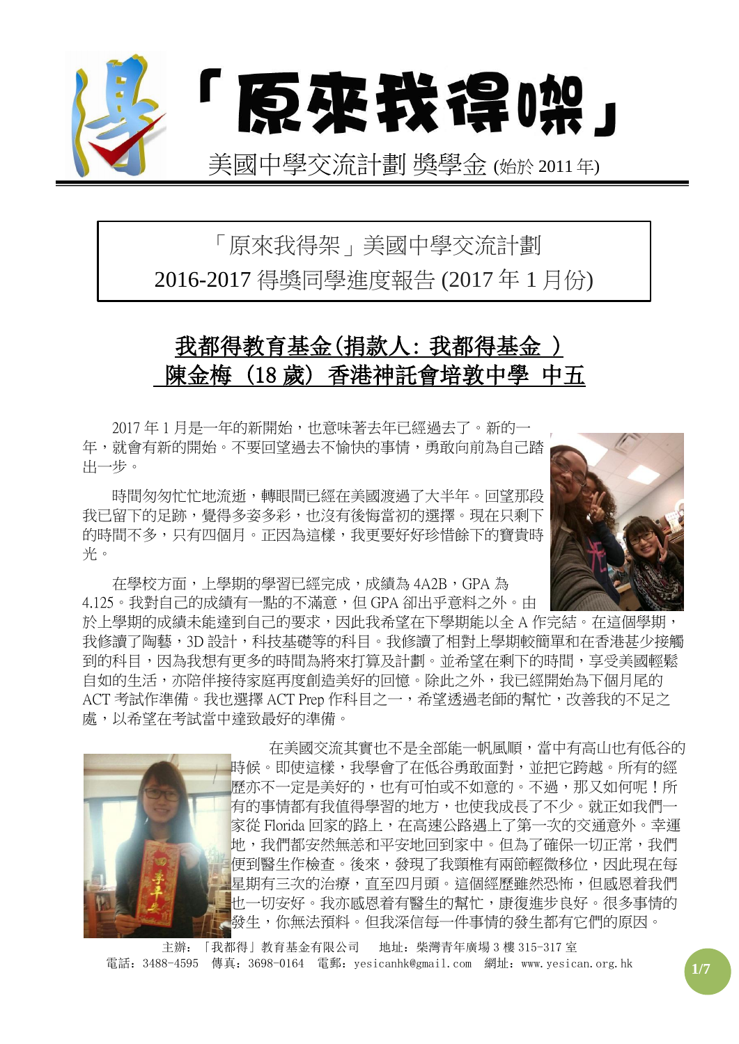

# 「原來我得架」美國中學交流計劃 2016-2017 得獎同學進度報告 (2017 年 1 月份)

# 我都得教育基金(捐款人: 我都得基金 ) 陳金梅 (18 歲) 香港神託會培敦中學 中五

2017 年 1 月是一年的新開始,也意味著去年已經過去了。新的一 年,就會有新的開始。不要回望過去不愉快的事情,勇敢向前為自己踏 出一步。

時間匆匆忙忙地流逝,轉眼間已經在美國渡過了大半年。回望那段 我已留下的足跡,覺得多姿多彩,也沒有後悔當初的選擇。現在只剩下 的時間不多,只有四個月。正因為這樣,我更要好好珍惜餘下的寶貴時 光。

在學校方面,上學期的學習已經完成,成績為 4A2B,GPA 為 4.125。我對自己的成績有一點的不滿意,但 GPA 卻出乎意料之外。由

於上學期的成績未能達到自己的要求,因此我希望在下學期能以全 A 作完結。在這個學期, 我修讀了陶藝,3D 設計,科技基礎等的科目。我修讀了相對上學期較簡單和在香港甚少接觸 到的科目,因為我想有更多的時間為將來打算及計劃。並希望在剩下的時間,享受美國輕鬆 自如的生活,亦陪伴接待家庭再度創造美好的回憶。除此之外,我已經開始為下個月尾的 ACT 考試作準備。我也選擇 ACT Prep 作科目之一,希望透過老師的幫忙,改善我的不足之 處,以希望在考試當中達致最好的準備。



 在美國交流其實也不是全部能一帆風順,當中有高山也有低谷的 時候。即使這樣,我學會了在低谷勇敢面對,並把它跨越。所有的經 歷亦不一定是美好的,也有可怕或不如意的。不過,那又如何呢!所 有的事情都有我值得學習的地方,也使我成長了不少。就正如我們一 家從 Florida 回家的路上,在高速公路遇上了第一次的交通意外。幸運 地,我們都安然無恙和平安地回到家中。但為了確保一切正常,我們 便到醫生作檢查。後來,發現了我頸椎有兩節輕微移位,因此現在每 星期有三次的治療,直至四月頭。這個經歷雖然恐怖,但感恩着我們 也一切安好。我亦感恩着有醫生的幫忙,康復進步良好。很多事情的 發生,你無法預料。但我深信每一件事情的發生都有它們的原因。

主辦:「我都得」教育基金有限公司 地址:柴灣青年廣場 3 樓 315-317 室 電話: 3488-4595 傳真: 3698-0164 電郵: yesicanhk@gmail.com 網址: www.yesican.org.hk <mark>1/7</mark>

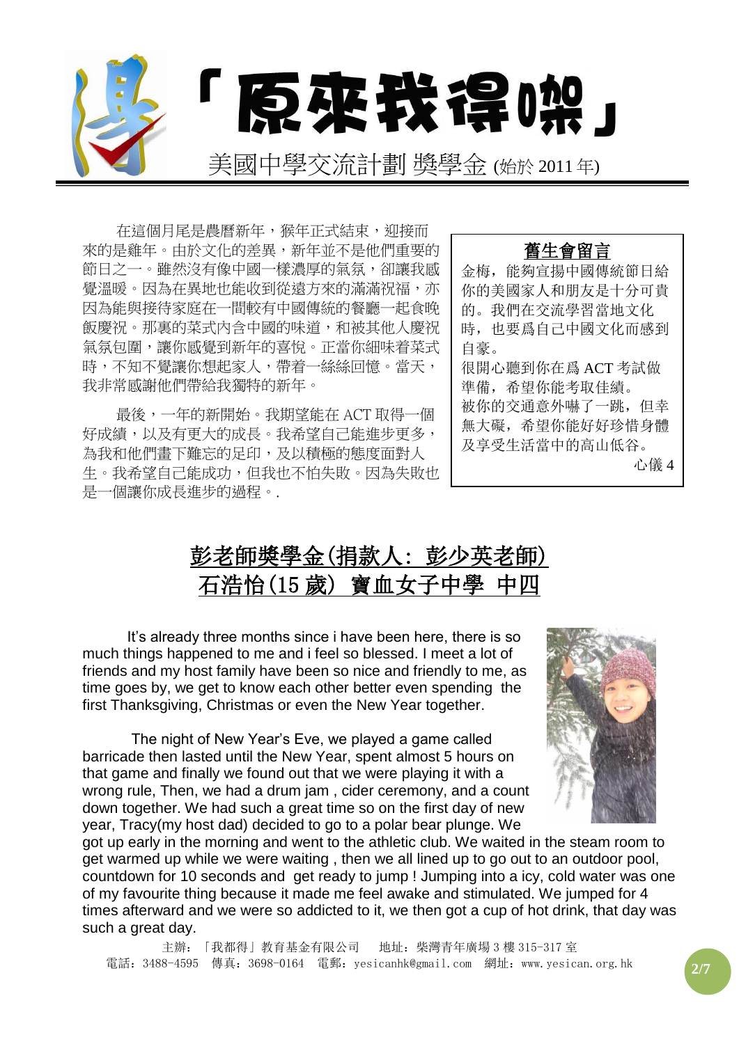

在這個月尾是農曆新年,猴年正式結束,迎接而 來的是雞年。由於文化的差異,新年並不是他們重要的 節日之一。雖然沒有像中國一樣濃厚的氣氛,卻讓我感 覺溫暖。因為在異地也能收到從遠方來的滿滿祝福,亦 因為能與接待家庭在一間較有中國傳統的餐廳一起食晚 飯慶祝。那裏的菜式內含中國的味道,和被其他人慶祝 氣氛包圍,讓你感覺到新年的喜悅。正當你細味着菜式 時,不知不覺讓你想起家人,帶着一絲絲回憶。當天, 我非常感謝他們帶給我獨特的新年。

最後,一年的新開始。我期望能在 ACT 取得一個 好成績,以及有更大的成長。我希望自己能進步更多, 為我和他們書下難忘的足印,及以積極的態度面對人 生。我希望自己能成功,但我也不怕失敗。因為失敗也 是一個讓你成長進步的過程。.





It's already three months since i have been here, there is so much things happened to me and i feel so blessed. I meet a lot of friends and my host family have been so nice and friendly to me, as time goes by, we get to know each other better even spending the first Thanksgiving, Christmas or even the New Year together.

The night of New Year's Eve, we played a game called barricade then lasted until the New Year, spent almost 5 hours on that game and finally we found out that we were playing it with a wrong rule, Then, we had a drum jam , cider ceremony, and a count down together. We had such a great time so on the first day of new year, Tracy(my host dad) decided to go to a polar bear plunge. We



got up early in the morning and went to the athletic club. We waited in the steam room to get warmed up while we were waiting , then we all lined up to go out to an outdoor pool, countdown for 10 seconds and get ready to jump ! Jumping into a icy, cold water was one of my favourite thing because it made me feel awake and stimulated. We jumped for 4 times afterward and we were so addicted to it, we then got a cup of hot drink, that day was such a great day.

主辦:「我都得」教育基金有限公司 地址:柴灣青年廣場 3 樓 315-317 室 電話:3488-4595 傳真:3698-0164 電郵:yesicanhk@gmail.com 網址:www.yesican.org.hk **2/7**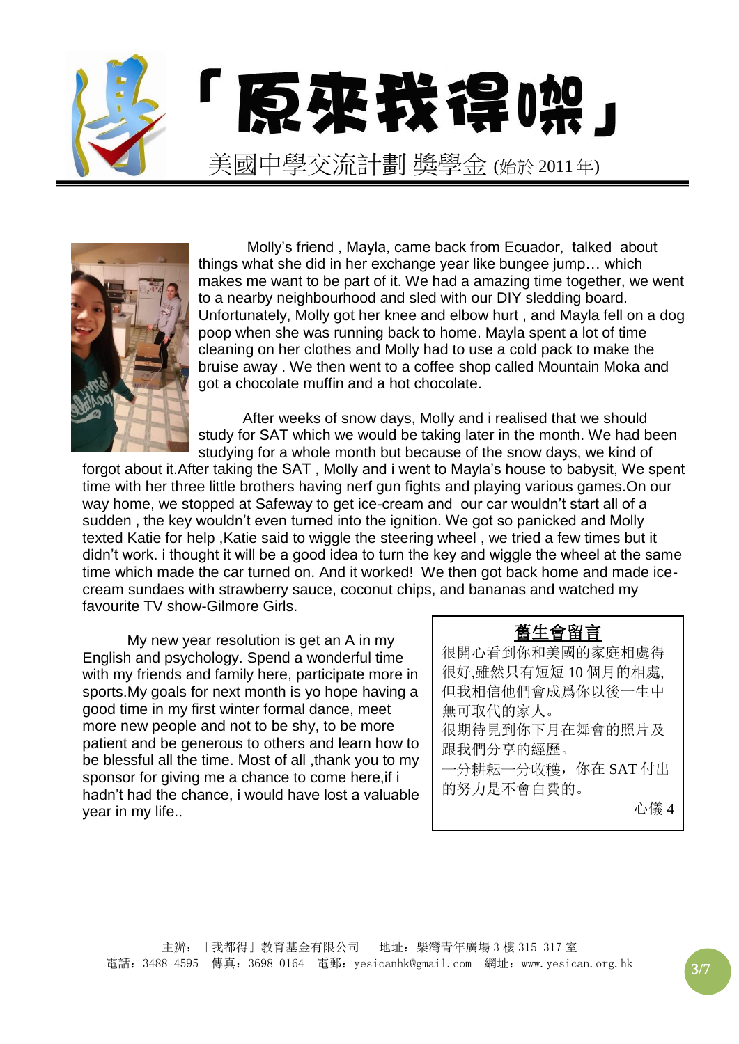



Molly's friend , Mayla, came back from Ecuador, talked about things what she did in her exchange year like bungee jump… which makes me want to be part of it. We had a amazing time together, we went to a nearby neighbourhood and sled with our DIY sledding board. Unfortunately, Molly got her knee and elbow hurt , and Mayla fell on a dog poop when she was running back to home. Mayla spent a lot of time cleaning on her clothes and Molly had to use a cold pack to make the bruise away . We then went to a coffee shop called Mountain Moka and got a chocolate muffin and a hot chocolate.

After weeks of snow days, Molly and i realised that we should study for SAT which we would be taking later in the month. We had been studying for a whole month but because of the snow days, we kind of

forgot about it.After taking the SAT , Molly and i went to Mayla's house to babysit, We spent time with her three little brothers having nerf gun fights and playing various games.On our way home, we stopped at Safeway to get ice-cream and our car wouldn't start all of a sudden , the key wouldn't even turned into the ignition. We got so panicked and Molly texted Katie for help ,Katie said to wiggle the steering wheel , we tried a few times but it didn't work. i thought it will be a good idea to turn the key and wiggle the wheel at the same time which made the car turned on. And it worked! We then got back home and made icecream sundaes with strawberry sauce, coconut chips, and bananas and watched my favourite TV show-Gilmore Girls.

My new year resolution is get an A in my English and psychology. Spend a wonderful time with my friends and family here, participate more in sports.My goals for next month is yo hope having a good time in my first winter formal dance, meet more new people and not to be shy, to be more patient and be generous to others and learn how to be blessful all the time. Most of all ,thank you to my sponsor for giving me a chance to come here, if i hadn't had the chance, i would have lost a valuable year in my life..

#### 舊生會留言

很開心看到你和美國的家庭相處得 很好,雖然只有短短 10 個月的相處, 但我相信他們會成爲你以後一生中 無可取代的家人。 很期待見到你下月在舞會的照片及 跟我們分享的經歷。

一分耕耘一分收穫,你在 SAT 付出 的努力是不會白費的。

心儀 4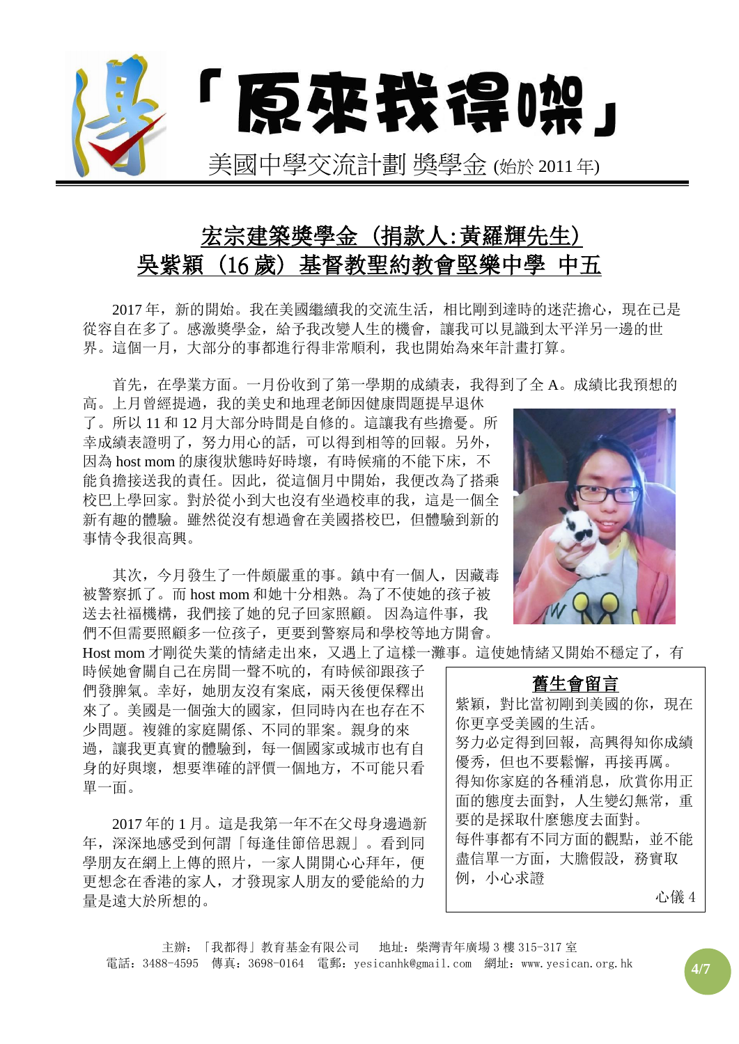

# 宏宗建築獎學金 (捐款人:黃羅輝先生) 吳紫穎 (16 歲) 基督教聖約教會堅樂中學 中五

2017 年,新的開始。我在美國繼續我的交流生活,相比剛到達時的迷茫擔心,現在已是 從容自在多了。感激獎學金,給予我改變人生的機會,讓我可以見識到太平洋另一邊的世 界。這個一月,大部分的事都進行得非常順利,我也開始為來年計畫打算。

首先,在學業方面。一月份收到了第一學期的成績表,我得到了全 A。成績比我預想的

高。上月曾經提過,我的美史和地理老師因健康問題提早退休 了。所以 11 和 12 月大部分時間是自修的。這讓我有些擔憂。所 幸成績表證明了,努力用心的話,可以得到相等的回報。另外, 因為 host mom 的康復狀態時好時壞,有時候痛的不能下床,不 能負擔接送我的責任。因此,從這個月中開始,我便改為了搭乘 校巴上學回家。對於從小到大也沒有坐過校車的我,這是一個全 新有趣的體驗。雖然從沒有想過會在美國搭校巴,但體驗到新的 事情令我很高興。

其次,今月發生了一件頗嚴重的事。鎮中有一個人,因藏毒 被警察抓了。而 host mom 和她十分相熟。為了不使她的孩子被 送去社福機構,我們接了她的兒子回家照顧。因為這件事,我 們不但需要照顧多一位孩子,更要到警察局和學校等地方開會。

時候她會關自己在房間一聲不吭的,有時候卻跟孩子 們發脾氣。幸好,她朋友沒有案底,兩天後便保釋出 來了。美國是一個強大的國家,但同時內在也存在不 少問題。複雜的家庭關係、不同的罪案。親身的來 過,讓我更真實的體驗到,每一個國家或城市也有自 身的好與壞,想要準確的評價一個地方,不可能只看 單一面。

2017 年的 1 月。這是我第一年不在父母身邊過新 年,深深地感受到何謂「每逢佳節倍思親」。看到同 學朋友在網上上傳的照片,一家人開開心心拜年,便 更想念在香港的家人,才發現家人朋友的愛能給的力 量是遠大於所想的。



Host mom 才剛從失業的情緒走出來,又遇上了這樣一灘事。這使她情緒又開始不穩定了,有

| 舊生會留言                 |
|-----------------------|
| 紫穎, 對比當初剛到美國的你,<br>現在 |
| 你更享受美國的生活。            |
| 努力必定得到回報,高興得知你成績      |
| 優秀, 但也不要鬆懈, 再接再厲。     |
| 得知你家庭的各種消息, 欣賞你用正     |
| 面的態度去面對,人生變幻無常,重      |
| 要的是採取什麼熊度夫面對。         |
| 每件事都有不同方面的觀點, 並不能     |
| 盡信單一方面, 大膽假設, 務實取     |
| 例,小心求證                |
| 心儀 4                  |

主辦:「我都得」教育基金有限公司 地址:柴灣青年廣場 3 樓 315-317 室 電話:3488-4595 傳真:3698-0164 電郵:yesicanhk@gmail.com 網址:www.yesican.org.hk **4/7**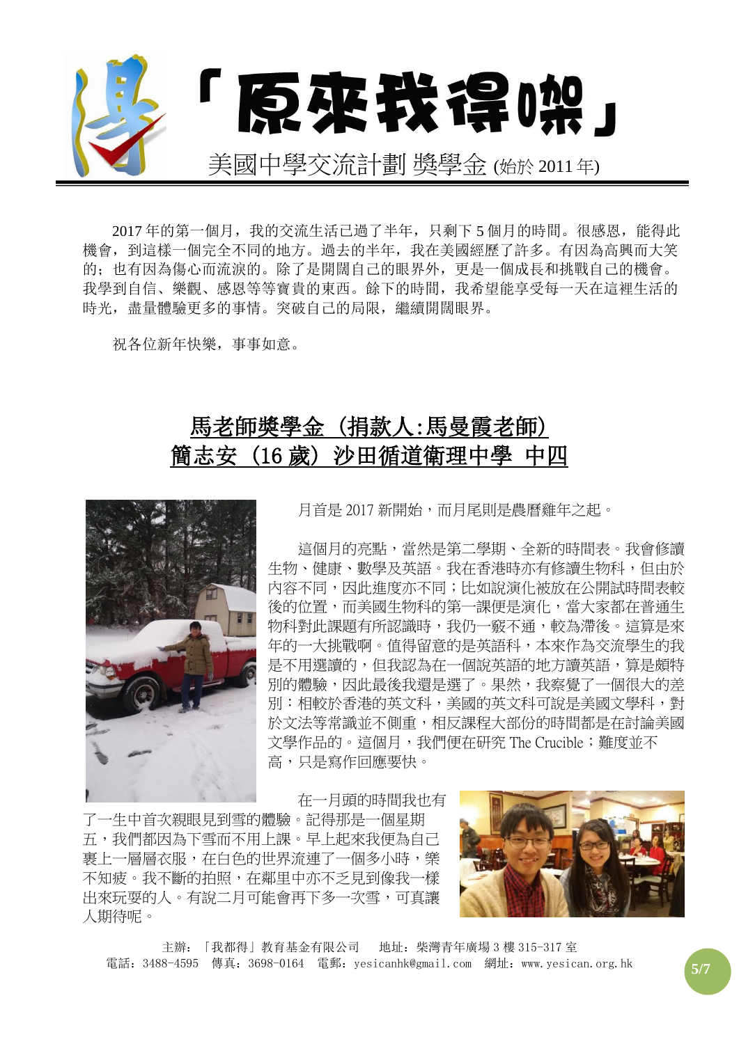

2017年的第一個月,我的交流生活已過了半年,只剩下5個月的時間。很感恩,能得此 機會,到這樣一個完全不同的地方。過去的半年,我在美國經歷了許多。有因為高興而大笑 的;也有因為傷心而流淚的。除了是開闊自己的眼界外,更是一個成長和挑戰自己的機會。 我學到自信、樂觀、感恩等等寶貴的東西。餘下的時間,我希望能享受每一天在這裡生活的 時光, 盡量體驗更多的事情。突破自己的局限, 繼續開闊眼界。

祝各位新年快樂,事事如意。

## 馬老師獎學金 (捐款人:馬曼霞老師) 簡志安 (16 歲) 沙田循道衛理中學 中四



月首是 2017 新開始,而月尾則是農曆雞年之起。

這個月的亮點,當然是第二學期、全新的時間表。我會修讀 牛物、健康、數學及英語。我在香港時亦有修讀生物科,但由於 內容不同,因此進度亦不同;比如說演化被放在公開試時間表較 後的位置,而美國生物科的第一課便是演化,當大家都在普通生 物科對此課題有所認識時,我仍一竅不通,較為滯後。這算是來 年的一大挑戰啊。值得留意的是英語科,本來作為交流學生的我 是不用選讀的,但我認為在一個說英語的地方讀英語,算是頗特 別的體驗,因此最後我還是選了。果然,我察覺了一個很大的差 別:相較於香港的英文科,美國的英文科可說是美國文學科,對 於文法等常識並不側重,相反課程大部份的時間都是在討論美國 文學作品的。這個月,我們便在研究 The Crucible; 難度並不 高,只是寫作回應要快。

在一月頭的時間我也有

了一生中首次親眼見到雪的體驗。記得那是一個星期 五,我們都因為下雪而不用上課。早上起來我便為自己 裹上一層層衣服,在白色的世界流連了一個多小時,樂 不知疲。我不斷的拍照,在鄰里中亦不乏見到像我一樣 出來玩耍的人。有說二月可能會再下多一次雪,可真讓 人期待呢。



主辦:「我都得」教育基金有限公司 地址:柴灣青年廣場 3 樓 315-317 室 電話:3488-4595 傳真:3698-0164 電郵:yesicanhk@gmail.com 網址:www.yesican.org.hk **5/7**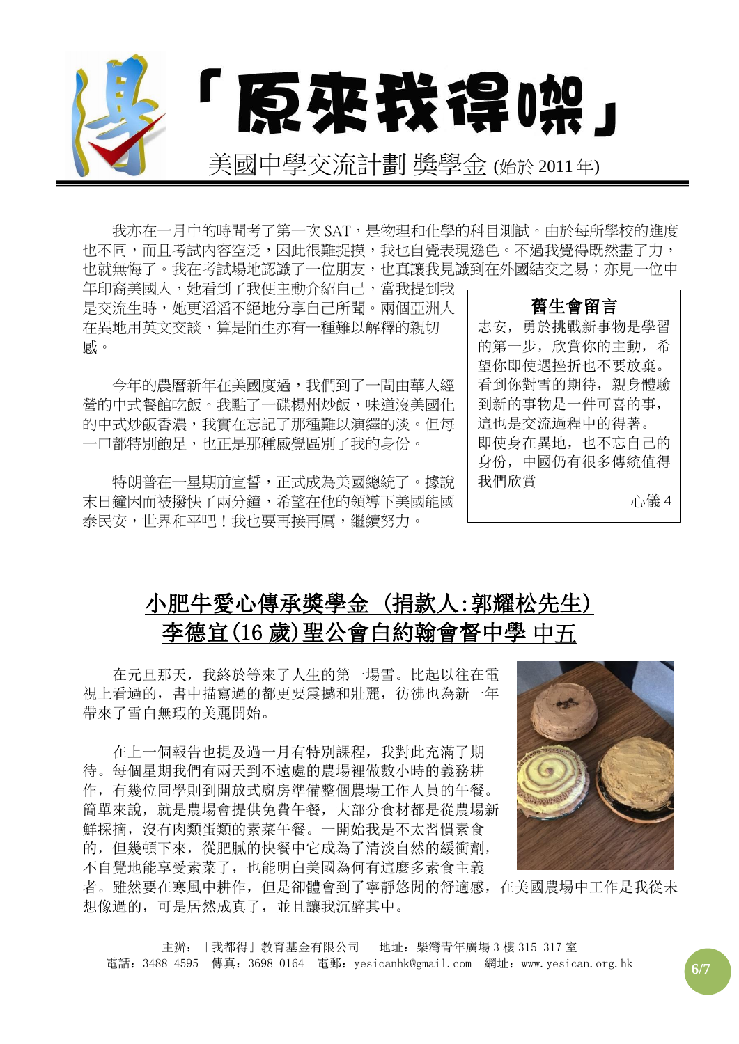

我亦在一月中的時間考了第一次 SAT, 是物理和化學的科目測試。由於每所學校的進度 也不同,而且考試內容空泛,因此很難捉摸,我也自覺表現遜色。不過我覺得既然盡了力, 也就無悔了。我在考試場地認識了一位朋友,也真讓我見識到在外國結交之易;亦見一位中

年印裔美國人,她看到了我便主動介紹自己,當我提到我 是交流生時,她更滔滔不絕地分享自己所聞。兩個亞洲人 在異地用英文交談,算是陌生亦有一種難以解釋的親切 感。

今年的農曆新年在美國度過,我們到了一間由華人經 營的中式餐館吃飯。我點了一碟楊州炒飯,味道沒美國化 的中式炒飯香濃,我實在忘記了那種難以演繹的淡。但每 一口都特別飽足,也正是那種感覺區別了我的身份。

特朗普在一星期前宣誓,正式成為美國總統了。據說 末日鐘因而被撥快了兩分鐘,希望在他的領導下美國能國 泰民安,世界和平吧!我也要再接再厲,繼續努力。

舊生會留言 志安,勇於挑戰新事物是學習 的第一步,欣賞你的主動,希 望你即使遇挫折也不要放棄。 看到你對雪的期待,親身體驗 到新的事物是一件可喜的事, 這也是交流過程中的得著。 即使身在異地,也不忘自己的 身份,中國仍有很多傳統值得 我們欣賞 心儀 4

## 小肥牛愛心傳承獎學金 (捐款人:郭耀松先生) 李德宜(16 歲)[聖公會白約翰會督中學](https://www.google.com.hk/url?sa=t&rct=j&q=&esrc=s&source=web&cd=1&cad=rja&uact=8&ved=0ahUKEwiW6ebUw6_OAhXLoJQKHaXQDYsQFggbMAA&url=http%3A%2F%2Fwww.skhbbss.edu.hk%2F&usg=AFQjCNFbMAZbgAZMJAeU6NazNmK4FCD5zg) 中五

在元旦那天,我終於等來了人生的第一場雪。比起以往在電 視上看過的,書中描寫過的都更要震撼和壯麗,彷彿也為新一年 帶來了雪白無瑕的美麗開始。

在上一個報告也提及過一月有特別課程,我對此充滿了期 待。每個星期我們有兩天到不遠處的農場裡做數小時的義務耕 作,有幾位同學則到開放式廚房準備整個農場工作人員的午餐。 簡單來說,就是農場會提供免費午餐,大部分食材都是從農場新 鮮採摘,沒有肉類蛋類的素菜午餐。一開始我是不太習慣素食 的,但幾頓下來,從肥膩的快餐中它成為了清淡自然的緩衝劑, 不自覺地能享受素菜了,也能明白美國為何有這麼多素食主義



者。雖然要在寒風中耕作,但是卻體會到了寧靜悠閒的舒適感,在美國農場中工作是我從未 想像過的,可是居然成真了,並且讓我沉醉其中。

主辦:「我都得」教育基金有限公司 地址:柴灣青年廣場 3 樓 315-317 室 電話:3488-4595 傳真:3698-0164 電郵:yesicanhk@gmail.com 網址:www.yesican.org.hk **6/7**